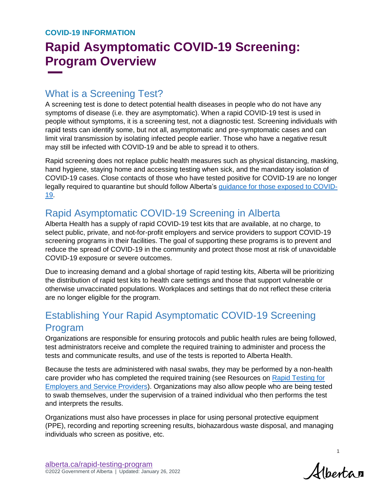# **Rapid Asymptomatic COVID-19 Screening: Program Overview**

#### What is a Screening Test?

A screening test is done to detect potential health diseases in people who do not have any symptoms of disease (i.e. they are asymptomatic). When a rapid COVID-19 test is used in people without symptoms, it is a screening test, not a diagnostic test. Screening individuals with rapid tests can identify some, but not all, asymptomatic and pre-symptomatic cases and can limit viral transmission by isolating infected people earlier. Those who have a negative result may still be infected with COVID-19 and be able to spread it to others.

Rapid screening does not replace public health measures such as physical distancing, masking, hand hygiene, staying home and accessing testing when sick, and the mandatory isolation of COVID-19 cases. Close contacts of those who have tested positive for COVID-19 are no longer legally required to quarantine but should follow Alberta's [guidance for those exposed to COVID-](https://www.alberta.ca/isolation.aspx)[19.](https://www.alberta.ca/isolation.aspx)

## Rapid Asymptomatic COVID-19 Screening in Alberta

Alberta Health has a supply of rapid COVID-19 test kits that are available, at no charge, to select public, private, and not-for-profit employers and service providers to support COVID-19 screening programs in their facilities. The goal of supporting these programs is to prevent and reduce the spread of COVID-19 in the community and protect those most at risk of unavoidable COVID-19 exposure or severe outcomes.

Due to increasing demand and a global shortage of rapid testing kits, Alberta will be prioritizing the distribution of rapid test kits to health care settings and those that support vulnerable or otherwise unvaccinated populations. Workplaces and settings that do not reflect these criteria are no longer eligible for the program.

## Establishing Your Rapid Asymptomatic COVID-19 Screening Program

Organizations are responsible for ensuring protocols and public health rules are being followed, test administrators receive and complete the required training to administer and process the tests and communicate results, and use of the tests is reported to Alberta Health.

Because the tests are administered with nasal swabs, they may be performed by a non-health care provider who has completed the required training (see Resources on [Rapid Testing for](https://www.alberta.ca/rapid-testing-program-for-employers-and-service-providers.aspx)  [Employers and Service Providers\)](https://www.alberta.ca/rapid-testing-program-for-employers-and-service-providers.aspx). Organizations may also allow people who are being tested to swab themselves, under the supervision of a trained individual who then performs the test and interprets the results.

Organizations must also have processes in place for using personal protective equipment (PPE), recording and reporting screening results, biohazardous waste disposal, and managing individuals who screen as positive, etc.

Albertan